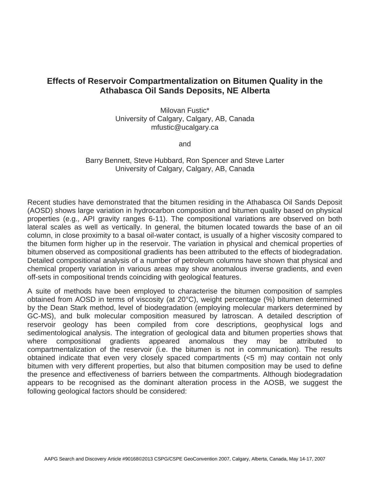## **Effects of Reservoir Compartmentalization on Bitumen Quality in the Athabasca Oil Sands Deposits, NE Alberta**

Milovan Fustic\* University of Calgary, Calgary, AB, Canada mfustic@ucalgary.ca

and

Barry Bennett, Steve Hubbard, Ron Spencer and Steve Larter University of Calgary, Calgary, AB, Canada

Recent studies have demonstrated that the bitumen residing in the Athabasca Oil Sands Deposit (AOSD) shows large variation in hydrocarbon composition and bitumen quality based on physical properties (e.g., API gravity ranges 6-11). The compositional variations are observed on both lateral scales as well as vertically. In general, the bitumen located towards the base of an oil column, in close proximity to a basal oil-water contact, is usually of a higher viscosity compared to the bitumen form higher up in the reservoir. The variation in physical and chemical properties of bitumen observed as compositional gradients has been attributed to the effects of biodegradation. Detailed compositional analysis of a number of petroleum columns have shown that physical and chemical property variation in various areas may show anomalous inverse gradients, and even off-sets in compositional trends coinciding with geological features.

A suite of methods have been employed to characterise the bitumen composition of samples obtained from AOSD in terms of viscosity (at 20°C), weight percentage (%) bitumen determined by the Dean Stark method, level of biodegradation (employing molecular markers determined by GC-MS), and bulk molecular composition measured by Iatroscan. A detailed description of reservoir geology has been compiled from core descriptions, geophysical logs and sedimentological analysis. The integration of geological data and bitumen properties shows that where compositional gradients appeared anomalous they may be attributed to compartmentalization of the reservoir (i.e. the bitumen is not in communication). The results obtained indicate that even very closely spaced compartments (<5 m) may contain not only bitumen with very different properties, but also that bitumen composition may be used to define the presence and effectiveness of barriers between the compartments. Although biodegradation appears to be recognised as the dominant alteration process in the AOSB, we suggest the following geological factors should be considered: